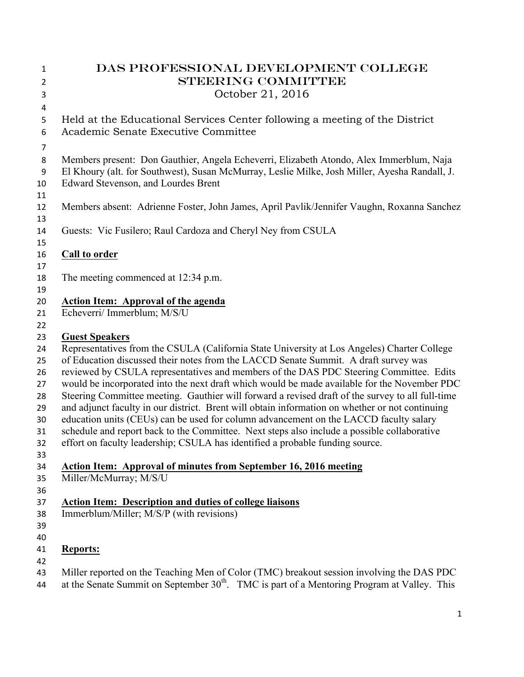| $\mathbf{1}$<br>$\overline{2}$ | DAS PROFESSIONAL DEVELOPMENT COLLEGE<br><b>STEERING COMMITTEE</b>                                                  |
|--------------------------------|--------------------------------------------------------------------------------------------------------------------|
| 3                              | October 21, 2016                                                                                                   |
| 4                              |                                                                                                                    |
| 5<br>6                         | Held at the Educational Services Center following a meeting of the District<br>Academic Senate Executive Committee |
| $\overline{7}$                 |                                                                                                                    |
| 8                              | Members present: Don Gauthier, Angela Echeverri, Elizabeth Atondo, Alex Immerblum, Naja                            |
| $\boldsymbol{9}$               | El Khoury (alt. for Southwest), Susan McMurray, Leslie Milke, Josh Miller, Ayesha Randall, J.                      |
| 10                             | <b>Edward Stevenson, and Lourdes Brent</b>                                                                         |
| 11                             |                                                                                                                    |
| 12                             | Members absent: Adrienne Foster, John James, April Pavlik/Jennifer Vaughn, Roxanna Sanchez                         |
| 13                             |                                                                                                                    |
| 14<br>15                       | Guests: Vic Fusilero; Raul Cardoza and Cheryl Ney from CSULA                                                       |
| 16                             | <b>Call to order</b>                                                                                               |
| 17                             |                                                                                                                    |
| 18                             | The meeting commenced at 12:34 p.m.                                                                                |
| 19                             |                                                                                                                    |
| 20                             | <b>Action Item: Approval of the agenda</b>                                                                         |
| 21                             | Echeverri/ Immerblum; M/S/U                                                                                        |
| 22                             |                                                                                                                    |
| 23                             | <b>Guest Speakers</b>                                                                                              |
| 24                             | Representatives from the CSULA (California State University at Los Angeles) Charter College                        |
| 25                             | of Education discussed their notes from the LACCD Senate Summit. A draft survey was                                |
| 26                             | reviewed by CSULA representatives and members of the DAS PDC Steering Committee. Edits                             |
| 27                             | would be incorporated into the next draft which would be made available for the November PDC                       |
| 28                             | Steering Committee meeting. Gauthier will forward a revised draft of the survey to all full-time                   |
| 29                             | and adjunct faculty in our district. Brent will obtain information on whether or not continuing                    |
| 30                             | education units (CEUs) can be used for column advancement on the LACCD faculty salary                              |
| 31                             | schedule and report back to the Committee. Next steps also include a possible collaborative                        |
| 32                             | effort on faculty leadership; CSULA has identified a probable funding source.                                      |
| 33                             |                                                                                                                    |
| 34                             | <b>Action Item: Approval of minutes from September 16, 2016 meeting</b>                                            |
| 35                             | Miller/McMurray; M/S/U                                                                                             |
| 36                             |                                                                                                                    |
| 37<br>38                       | <b>Action Item: Description and duties of college liaisons</b><br>Immerblum/Miller; M/S/P (with revisions)         |
| 39                             |                                                                                                                    |
| 40                             |                                                                                                                    |
| 41                             | <b>Reports:</b>                                                                                                    |
| 42                             |                                                                                                                    |
| 43                             | Miller reported on the Teaching Men of Color (TMC) breakout session involving the DAS PDC                          |
| 44                             | at the Senate Summit on September $30th$ . TMC is part of a Mentoring Program at Valley. This                      |